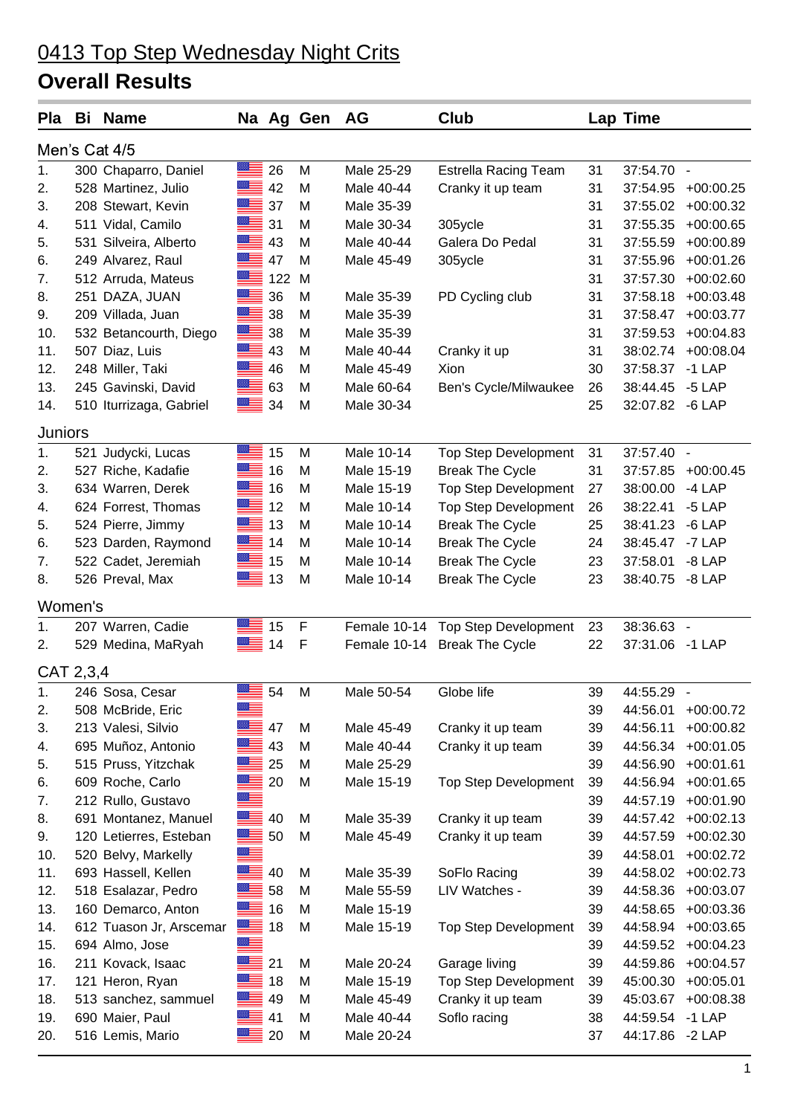## 0413 Top Step Wednesday Night Crits

## **Overall Results**

| Pla            | Bi | <b>Name</b>             |             |     | Na Ag Gen   | AG         | Club                              |    | <b>Lap Time</b> |                |  |
|----------------|----|-------------------------|-------------|-----|-------------|------------|-----------------------------------|----|-----------------|----------------|--|
| Men's Cat 4/5  |    |                         |             |     |             |            |                                   |    |                 |                |  |
| 1.             |    | 300 Chaparro, Daniel    | 88.         | 26  | M           | Male 25-29 | <b>Estrella Racing Team</b>       | 31 | 37:54.70        | $\blacksquare$ |  |
| 2.             |    | 528 Martinez, Julio     | ▓▆▅         | 42  | M           | Male 40-44 | Cranky it up team                 | 31 | 37:54.95        | $+00:00.25$    |  |
| 3.             |    | 208 Stewart, Kevin      |             | 37  | M           | Male 35-39 |                                   | 31 | 37:55.02        | $+00:00.32$    |  |
| 4.             |    | 511 Vidal, Camilo       | ≊≡          | 31  | M           | Male 30-34 | 305ycle                           | 31 | 37:55.35        | $+00:00.65$    |  |
| 5.             |    | 531 Silveira, Alberto   | $=$         | 43  | M           | Male 40-44 | Galera Do Pedal                   | 31 | 37:55.59        | $+00:00.89$    |  |
| 6.             |    | 249 Alvarez, Raul       | $=$         | 47  | M           | Male 45-49 | 305ycle                           | 31 | 37:55.96        | $+00:01.26$    |  |
| 7.             |    | 512 Arruda, Mateus      | ▀▀          | 122 | M           |            |                                   | 31 | 37:57.30        | $+00:02.60$    |  |
| 8.             |    | 251 DAZA, JUAN          | ▀           | 36  | M           | Male 35-39 | PD Cycling club                   | 31 | 37:58.18        | $+00:03.48$    |  |
| 9.             |    | 209 Villada, Juan       | $=$         | 38  | M           | Male 35-39 |                                   | 31 | 37:58.47        | $+00:03.77$    |  |
| 10.            |    | 532 Betancourth, Diego  | $=$         | 38  | M           | Male 35-39 |                                   | 31 | 37:59.53        | $+00:04.83$    |  |
| 11.            |    | 507 Diaz, Luis          | ▓▆▅         | 43  | M           | Male 40-44 | Cranky it up                      | 31 | 38:02.74        | $+00:08.04$    |  |
| 12.            |    | 248 Miller, Taki        | ▓▆          | 46  | M           | Male 45-49 | Xion                              | 30 | 37:58.37        | $-1$ LAP       |  |
| 13.            |    | 245 Gavinski, David     | █≣ 63       |     | M           | Male 60-64 | Ben's Cycle/Milwaukee             | 26 | 38:44.45        | $-5$ LAP       |  |
| 14.            |    | 510 Iturrizaga, Gabriel | $=$         | 34  | M           | Male 30-34 |                                   | 25 | 32:07.82        | $-6$ LAP       |  |
| <b>Juniors</b> |    |                         |             |     |             |            |                                   |    |                 |                |  |
| 1.             |    | 521 Judycki, Lucas      |             | 15  | M           | Male 10-14 | <b>Top Step Development</b>       | 31 | 37:57.40 -      |                |  |
| 2.             |    | 527 Riche, Kadafie      | ▓▆          | 16  | M           | Male 15-19 | <b>Break The Cycle</b>            | 31 | 37:57.85        | $+00:00.45$    |  |
| 3.             |    | 634 Warren, Derek       | $\equiv$    | 16  | M           | Male 15-19 | <b>Top Step Development</b>       | 27 | 38:00.00        | $-4$ LAP       |  |
| 4.             |    | 624 Forrest, Thomas     | ▆▆          | 12  | M           | Male 10-14 | <b>Top Step Development</b>       | 26 | 38:22.41        | $-5$ LAP       |  |
| 5.             |    | 524 Pierre, Jimmy       | ▓▆          | 13  | M           | Male 10-14 | <b>Break The Cycle</b>            | 25 | 38:41.23        | $-6$ LAP       |  |
| 6.             |    | 523 Darden, Raymond     | ▓▆          | 14  | M           | Male 10-14 | <b>Break The Cycle</b>            | 24 | 38:45.47        | -7 LAP         |  |
| 7.             |    | 522 Cadet, Jeremiah     | $\equiv$    | 15  | M           | Male 10-14 | <b>Break The Cycle</b>            | 23 | 37:58.01        | $-8$ LAP       |  |
| 8.             |    | 526 Preval, Max         | ▀▀          | 13  | M           | Male 10-14 | <b>Break The Cycle</b>            | 23 | 38:40.75        | $-8$ LAP       |  |
| Women's        |    |                         |             |     |             |            |                                   |    |                 |                |  |
| 1.             |    | 207 Warren, Cadie       | ≣           | 15  | F           |            | Female 10-14 Top Step Development | 23 | 38:36.63 -      |                |  |
| 2.             |    | 529 Medina, MaRyah      | ≣           | 14  | $\mathsf F$ |            | Female 10-14 Break The Cycle      | 22 | 37:31.06        | $-1$ LAP       |  |
| CAT 2,3,4      |    |                         |             |     |             |            |                                   |    |                 |                |  |
| 1.             |    | 246 Sosa, Cesar         |             | 54  | M           | Male 50-54 | Globe life                        | 39 | 44:55.29 -      |                |  |
| 2.             |    | 508 McBride, Eric       |             |     |             |            |                                   | 39 | 44:56.01        | $+00:00.72$    |  |
| 3.             |    | 213 Valesi, Silvio      | ▓▆          | 47  | M           | Male 45-49 | Cranky it up team                 | 39 | 44:56.11        | $+00:00.82$    |  |
| 4.             |    | 695 Muñoz, Antonio      |             | 43  | M           | Male 40-44 | Cranky it up team                 | 39 | 44:56.34        | $+00:01.05$    |  |
| 5.             |    | 515 Pruss, Yitzchak     |             | 25  | M           | Male 25-29 |                                   | 39 | 44:56.90        | $+00:01.61$    |  |
| 6.             |    | 609 Roche, Carlo        |             | 20  | M           | Male 15-19 | <b>Top Step Development</b>       | 39 | 44:56.94        | $+00:01.65$    |  |
| 7.             |    | 212 Rullo, Gustavo      |             |     |             |            |                                   | 39 | 44:57.19        | $+00:01.90$    |  |
| 8.             |    | 691 Montanez, Manuel    | ▀▀          | 40  | M           | Male 35-39 | Cranky it up team                 | 39 | 44:57.42        | $+00:02.13$    |  |
| 9.             |    | 120 Letierres, Esteban  |             | 50  | M           | Male 45-49 | Cranky it up team                 | 39 | 44:57.59        | $+00:02.30$    |  |
| 10.            |    | 520 Belvy, Markelly     |             |     |             |            |                                   | 39 | 44:58.01        | $+00:02.72$    |  |
| 11.            |    | 693 Hassell, Kellen     | ≝≡          | 40  | M           | Male 35-39 | SoFlo Racing                      | 39 | 44:58.02        | $+00:02.73$    |  |
| 12.            |    | 518 Esalazar, Pedro     | ≣           | 58  | M           | Male 55-59 | LIV Watches -                     | 39 | 44:58.36        | $+00:03.07$    |  |
| 13.            |    | 160 Demarco, Anton      | ▀▀          | 16  | M           | Male 15-19 |                                   | 39 | 44:58.65        | $+00:03.36$    |  |
| 14.            |    | 612 Tuason Jr, Arscemar | $\equiv$ 18 |     | M           | Male 15-19 | <b>Top Step Development</b>       | 39 | 44:58.94        | $+00:03.65$    |  |
| 15.            |    | 694 Almo, Jose          | ≋<br>≡      |     |             |            |                                   | 39 | 44:59.52        | $+00:04.23$    |  |
| 16.            |    | 211 Kovack, Isaac       |             | 21  | M           | Male 20-24 | Garage living                     | 39 | 44:59.86        | $+00:04.57$    |  |
| 17.            |    | 121 Heron, Ryan         | ▆           | 18  | M           | Male 15-19 | Top Step Development              | 39 | 45:00.30        | $+00:05.01$    |  |
| 18.            |    | 513 sanchez, sammuel    |             | 49  | M           | Male 45-49 | Cranky it up team                 | 39 | 45:03.67        | $+00:08.38$    |  |
| 19.            |    | 690 Maier, Paul         |             | 41  | M           | Male 40-44 | Soflo racing                      | 38 | 44:59.54        | $-1$ LAP       |  |
| 20.            |    | 516 Lemis, Mario        |             | 20  | M           | Male 20-24 |                                   | 37 | 44:17.86        | $-2$ LAP       |  |
|                |    |                         |             |     |             |            |                                   |    |                 |                |  |